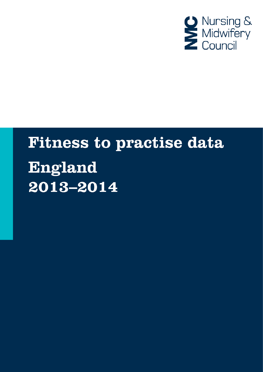

# **Fitness to practise data** England  $2013 - 2014$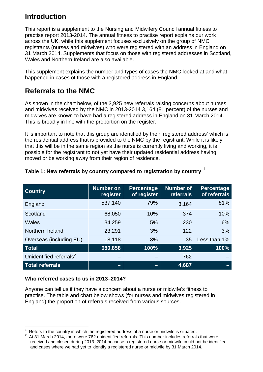# **Introduction**

This report is a supplement to the Nursing and Midwifery Council annual fitness to practise report 2013-2014. The annual fitness to practise report explains our work across the UK, while this supplement focuses exclusively on the group of NMC registrants (nurses and midwives) who were registered with an address in England on 31 March 2014. Supplements that focus on those with registered addresses in Scotland, Wales and Northern Ireland are also available.

This supplement explains the number and types of cases the NMC looked at and what happened in cases of those with a registered address in England.

# **Referrals to the NMC**

As shown in the chart below, of the 3,925 new referrals raising concerns about nurses and midwives received by the NMC in 2013-2014 3,164 (81 percent) of the nurses and midwives are known to have had a registered address in England on 31 March 2014. This is broadly in line with the proportion on the register.

It is important to note that this group are identified by their 'registered address' which is the residential address that is provided to the NMC by the registrant. While it is likely that this will be in the same region as the nurse is currently living and working, it is possible for the registrant to not yet have their updated residential address having moved or be working away from their region of residence.

| <b>Country</b>                      | <b>Number on</b><br>register | <b>Percentage</b><br>of register | <b>Number of</b><br><b>referrals</b> | Percentage<br>of referrals |
|-------------------------------------|------------------------------|----------------------------------|--------------------------------------|----------------------------|
| England                             | 537,140                      | 79%                              | 3,164                                | 81%                        |
| Scotland                            | 68,050                       | 10%                              | 374                                  | 10%                        |
| Wales                               | 34,259                       | 5%                               | 230                                  | 6%                         |
| Northern Ireland                    | 23,291                       | 3%                               | 122                                  | 3%                         |
| Overseas (including EU)             | 18,118                       | 3%                               | 35                                   | Less than 1%               |
| <b>Total</b>                        | 680,858                      | 100%                             | 3,925                                | 100%                       |
| Unidentified referrals <sup>2</sup> |                              |                                  | 762                                  |                            |
| <b>Total referrals</b>              | -                            | -                                | 4,687                                |                            |

## **Table 1: New referrals by country compared to registration by country** [1](#page-1-0)

## **Who referred cases to us in 2013–2014?**

Anyone can tell us if they have a concern about a nurse or midwife's fitness to practise. The table and chart below shows (for nurses and midwives registered in England) the proportion of referrals received from various sources.

 $\frac{1}{1}$ Refers to the country in which the registered address of a nurse or midwife is situated. <sup>2</sup>

<span id="page-1-1"></span><span id="page-1-0"></span>At 31 March 2014, there were 762 unidentified referrals. This number includes referrals that were received and closed during 2013–2014 because a registered nurse or midwife could not be identified and cases where we had yet to identify a registered nurse or midwife by 31 March 2014.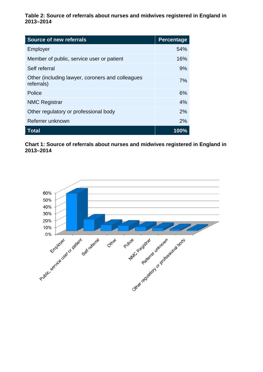**Table 2: Source of referrals about nurses and midwives registered in England in 2013–2014**

| <b>Source of new referrals</b>                                 | <b>Percentage</b> |
|----------------------------------------------------------------|-------------------|
| Employer                                                       | 54%               |
| Member of public, service user or patient                      | 16%               |
| Self referral                                                  | 9%                |
| Other (including lawyer, coroners and colleagues<br>referrals) | 7%                |
| Police                                                         | 6%                |
| <b>NMC Registrar</b>                                           | 4%                |
| Other regulatory or professional body                          | 2%                |
| Referrer unknown                                               | 2%                |
| <b>Total</b>                                                   | 100%              |

**Chart 1: Source of referrals about nurses and midwives registered in England in 2013–2014** 

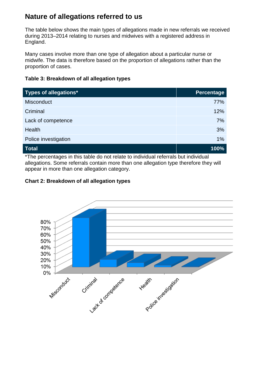# **Nature of allegations referred to us**

The table below shows the main types of allegations made in new referrals we received during 2013–2014 relating to nurses and midwives with a registered address in England.

Many cases involve more than one type of allegation about a particular nurse or midwife. The data is therefore based on the proportion of allegations rather than the proportion of cases.

## **Table 3: Breakdown of all allegation types**

| <b>Types of allegations*</b> | <b>Percentage</b> |
|------------------------------|-------------------|
| <b>Misconduct</b>            | 77%               |
| Criminal                     | 12%               |
| Lack of competence           | 7%                |
| Health                       | 3%                |
| Police investigation         | 1%                |
| <b>Total</b>                 | 100%              |

\*The percentages in this table do not relate to individual referrals but individual allegations. Some referrals contain more than one allegation type therefore they will appear in more than one allegation category.

## **Chart 2: Breakdown of all allegation types**

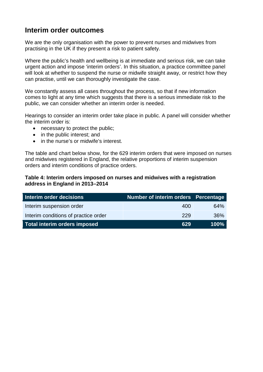## **Interim order outcomes**

We are the only organisation with the power to prevent nurses and midwives from practising in the UK if they present a risk to patient safety.

Where the public's health and wellbeing is at immediate and serious risk, we can take urgent action and impose 'interim orders'. In this situation, a practice committee panel will look at whether to suspend the nurse or midwife straight away, or restrict how they can practise, until we can thoroughly investigate the case.

We constantly assess all cases throughout the process, so that if new information comes to light at any time which suggests that there is a serious immediate risk to the public, we can consider whether an interim order is needed.

Hearings to consider an interim order take place in public. A panel will consider whether the interim order is:

- necessary to protect the public:
- in the public interest; and
- in the nurse's or midwife's interest.

The table and chart below show, for the 629 interim orders that were imposed on nurses and midwives registered in England, the relative proportions of interim suspension orders and interim conditions of practice orders.

#### **Table 4: Interim orders imposed on nurses and midwives with a registration address in England in 2013–2014**

| Interim order decisions              | Number of interim orders Percentage |      |
|--------------------------------------|-------------------------------------|------|
| Interim suspension order             | 400                                 | 64%  |
| Interim conditions of practice order | 229                                 | 36%  |
| <b>Total interim orders imposed</b>  | 629                                 | 100% |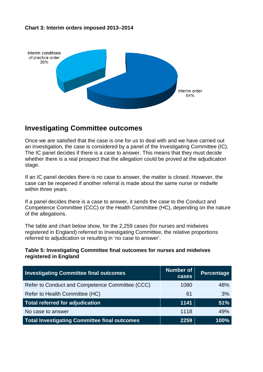#### **Chart 3: Interim orders imposed 2013–2014**



## **Investigating Committee outcomes**

Once we are satisfied that the case is one for us to deal with and we have carried out an investigation, the case is considered by a panel of the Investigating Committee (IC). The IC panel decides if there is a case to answer. This means that they must decide whether there is a real prospect that the allegation could be proved at the adjudication stage.

If an IC panel decides there is no case to answer, the matter is closed. However, the case can be reopened if another referral is made about the same nurse or midwife within three years.

If a panel decides there is a case to answer, it sends the case to the Conduct and Competence Committee (CCC) or the Health Committee (HC), depending on the nature of the allegations.

The table and chart below show, for the 2,259 cases (for nurses and midwives registered in England) referred to Investigating Committee, the relative proportions referred to adjudication or resulting in 'no case to answer'.

#### **Table 5: Investigating Committee final outcomes for nurses and midwives registered in England**

| <b>Investigating Committee final outcomes</b>       | <b>Number of</b><br>cases | <b>Percentage</b> |
|-----------------------------------------------------|---------------------------|-------------------|
| Refer to Conduct and Competence Committee (CCC)     | 1080                      | 48%               |
| Refer to Health Committee (HC)                      | 61                        | 3%                |
| <b>Total referred for adjudication</b>              | 1141                      | 51%               |
| No case to answer                                   | 1118                      | 49%               |
| <b>Total Investigating Committee final outcomes</b> | 2259                      | 100%              |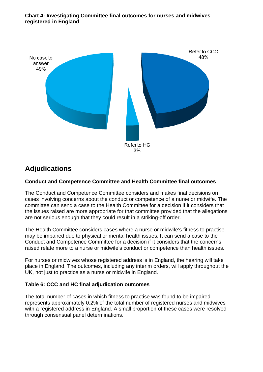#### **Chart 4: Investigating Committee final outcomes for nurses and midwives registered in England**



# **Adjudications**

## **Conduct and Competence Committee and Health Committee final outcomes**

The Conduct and Competence Committee considers and makes final decisions on cases involving concerns about the conduct or competence of a nurse or midwife. The committee can send a case to the Health Committee for a decision if it considers that the issues raised are more appropriate for that committee provided that the allegations are not serious enough that they could result in a striking-off order.

The Health Committee considers cases where a nurse or midwife's fitness to practise may be impaired due to physical or mental health issues. It can send a case to the Conduct and Competence Committee for a decision if it considers that the concerns raised relate more to a nurse or midwife's conduct or competence than health issues.

For nurses or midwives whose registered address is in England, the hearing will take place in England. The outcomes, including any interim orders, will apply throughout the UK, not just to practice as a nurse or midwife in England.

## **Table 6: CCC and HC final adjudication outcomes**

The total number of cases in which fitness to practise was found to be impaired represents approximately 0.2% of the total number of registered nurses and midwives with a registered address in England. A small proportion of these cases were resolved through consensual panel determinations.